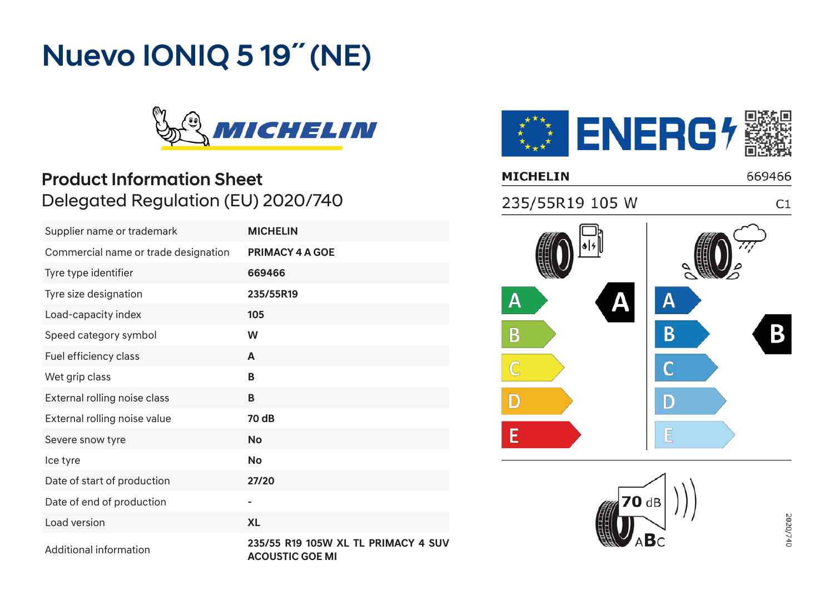# Nuevo IONIQ 5 19˝ (NE)



### **Product Information Sheet** Delegated Regulation (EU) 2020/740 Commercial name or trade designation **PRIMACY 4 A GOE**

| Supplier name or trademark           | <b>MICHELIN</b>                                        |
|--------------------------------------|--------------------------------------------------------|
| Commercial name or trade designation | <b>PRIMACY 4 A GOE</b>                                 |
| Tyre type identifier                 | 669466                                                 |
| Tyre size designation                | 235/55R19                                              |
| Load-capacity index                  | 105                                                    |
| Speed category symbol                | W                                                      |
| Fuel efficiency class                | A                                                      |
| Wet grip class                       | B                                                      |
| External rolling noise class         | B                                                      |
| External rolling noise value         | 70 dB                                                  |
| Severe snow tyre                     | <b>No</b>                                              |
| Ice tyre                             | <b>No</b>                                              |
| Date of start of production          | 27/20                                                  |
| Date of end of production            | ۰                                                      |
| Load version                         | <b>XL</b>                                              |
| Additional information               | 235/55 R19 105W XL TL PRIMACY 4 SUV<br>ACOUCTIC COF MI |





2020/740

**ACOUSTIC GOE MI**